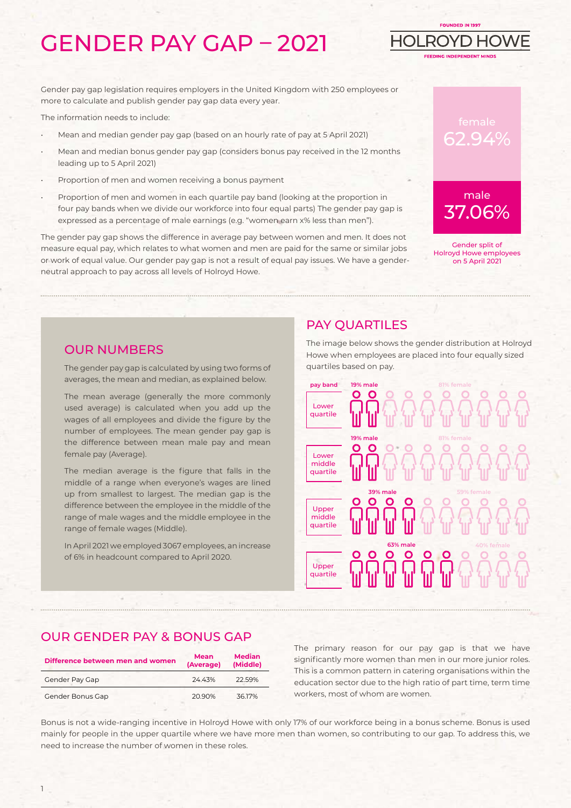# GENDER PAY GAP – 2021

Gender pay gap legislation requires employers in the United Kingdom with 250 employees or more to calculate and publish gender pay gap data every year.

The information needs to include:

- Mean and median gender pay gap (based on an hourly rate of pay at 5 April 2021)
- Mean and median bonus gender pay gap (considers bonus pay received in the 12 months leading up to 5 April 2021)
- Proportion of men and women receiving a bonus payment
- Proportion of men and women in each quartile pay band (looking at the proportion in four pay bands when we divide our workforce into four equal parts) The gender pay gap is expressed as a percentage of male earnings (e.g. "women earn x% less than men").

The gender pay gap shows the difference in average pay between women and men. It does not measure equal pay, which relates to what women and men are paid for the same or similar jobs or work of equal value. Our gender pay gap is not a result of equal pay issues. We have a genderneutral approach to pay across all levels of Holroyd Howe.



FOUNDED IN 1997

**FEDING INDEPENDENT MIND** 

Н

OLRO

Gender split of Holroyd Howe employees on 5 April 2021

#### OUR NUMBERS

The gender pay gap is calculated by using two forms of averages, the mean and median, as explained below.

The mean average (generally the more commonly used average) is calculated when you add up the wages of all employees and divide the figure by the number of employees. The mean gender pay gap is the difference between mean male pay and mean female pay (Average).

The median average is the figure that falls in the middle of a range when everyone's wages are lined up from smallest to largest. The median gap is the difference between the employee in the middle of the range of male wages and the middle employee in the range of female wages (Middle).

In April 2021 we employed 3067 employees, an increase of 6% in headcount compared to April 2020.

### PAY QUARTILES

The image below shows the gender distribution at Holroyd Howe when employees are placed into four equally sized quartiles based on pay.



### OUR GENDER PAY & BONUS GAP

| Difference between men and women | <b>Mean</b><br>(Average) | <b>Median</b><br>(Middle) |
|----------------------------------|--------------------------|---------------------------|
| Gender Pay Gap                   | 2443%                    | 22.59%                    |
| Gender Bonus Gap                 | 20.90%                   | 3617%                     |

The primary reason for our pay gap is that we have significantly more women than men in our more junior roles. This is a common pattern in catering organisations within the education sector due to the high ratio of part time, term time workers, most of whom are women.

Bonus is not a wide-ranging incentive in Holroyd Howe with only 17% of our workforce being in a bonus scheme. Bonus is used mainly for people in the upper quartile where we have more men than women, so contributing to our gap. To address this, we need to increase the number of women in these roles.